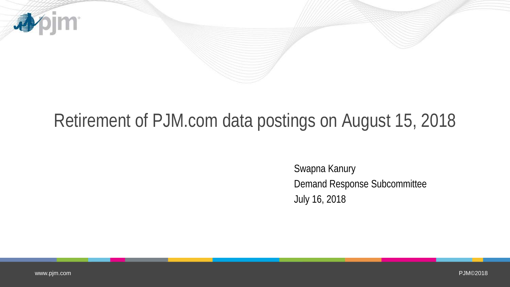

## Retirement of PJM.com data postings on August 15, 2018

Swapna Kanury Demand Response Subcommittee July 16, 2018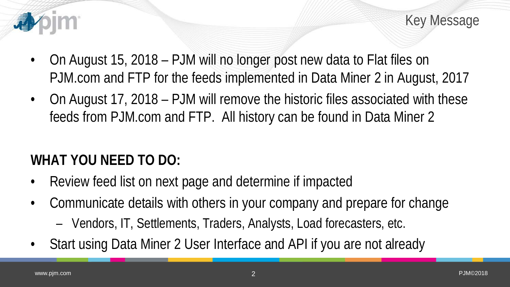

Key Message

- On August 15, 2018 PJM will no longer post new data to Flat files on PJM.com and FTP for the feeds implemented in Data Miner 2 in August, 2017
- On August 17, 2018 PJM will remove the historic files associated with these feeds from PJM.com and FTP. All history can be found in Data Miner 2

## **WHAT YOU NEED TO DO:**

- Review feed list on next page and determine if impacted
- Communicate details with others in your company and prepare for change
	- Vendors, IT, Settlements, Traders, Analysts, Load forecasters, etc.
- Start using Data Miner 2 User Interface and API if you are not already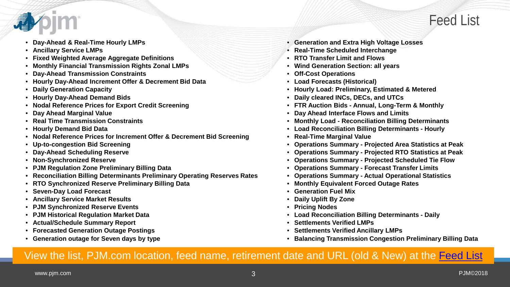

- **Day-Ahead & Real-Time Hourly LMPs**
- **Ancillary Service LMPs**
- **Fixed Weighted Average Aggregate Definitions**
- **Monthly Financial Transmission Rights Zonal LMPs**
- **Day-Ahead Transmission Constraints**
- **Hourly Day-Ahead Increment Offer & Decrement Bid Data**
- **Daily Generation Capacity**
- **Hourly Day-Ahead Demand Bids**
- **Nodal Reference Prices for Export Credit Screening**
- **Day Ahead Marginal Value**
- **Real Time Transmission Constraints**
- **Hourly Demand Bid Data**
- **Nodal Reference Prices for Increment Offer & Decrement Bid Screening**
- **Up-to-congestion Bid Screening**
- **Day-Ahead Scheduling Reserve**
- **Non-Synchronized Reserve**
- **PJM Regulation Zone Preliminary Billing Data**
- **Reconciliation Billing Determinants Preliminary Operating Reserves Rates**
- **RTO Synchronized Reserve Preliminary Billing Data**
- **Seven-Day Load Forecast**
- **Ancillary Service Market Results**
- **PJM Synchronized Reserve Events**
- **PJM Historical Regulation Market Data**
- **Actual/Schedule Summary Report**
- **Forecasted Generation Outage Postings**
- **Generation outage for Seven days by type**
- **Generation and Extra High Voltage Losses**
- **Real-Time Scheduled Interchange**
- **RTO Transfer Limit and Flows**
- **Wind Generation Section: all years**
- **Off-Cost Operations**
- **Load Forecasts (Historical)**
- **Hourly Load: Preliminary, Estimated & Metered**
- **Daily cleared INCs, DECs, and UTCs**
- **FTR Auction Bids - Annual, Long-Term & Monthly**
- **Day Ahead Interface Flows and Limits**
- **Monthly Load - Reconciliation Billing Determinants**
- **Load Reconciliation Billing Determinants - Hourly**
- **Real-Time Marginal Value**
- **Operations Summary - Projected Area Statistics at Peak**
- **Operations Summary - Projected RTO Statistics at Peak**
- **Operations Summary - Projected Scheduled Tie Flow**
- **Operations Summary - Forecast Transfer Limits**
- **Operations Summary - Actual Operational Statistics**
- **Monthly Equivalent Forced Outage Rates**
- **Generation Fuel Mix**
- **Daily Uplift By Zone**
- **Pricing Nodes**
- **Load Reconciliation Billing Determinants - Daily**
- **Settlements Verified LMPs**
- **Settlements Verified Ancillary LMPs**
- **Balancing Transmission Congestion Preliminary Billing Data**

## View the list, PJM.com location, feed name, retirement date and URL (old & New) at the [Feed List](http://www.pjm.com/-/media/etools/data-miner-2/data-miner-2-feed-list.ashx?la=en)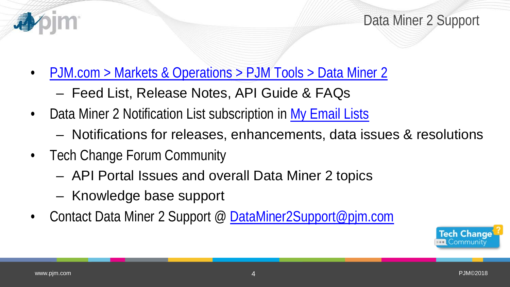

Data Miner 2 Support

- [PJM.com > Markets & Operations > PJM Tools > Data Miner 2](http://www.pjm.com/markets-and-operations/etools/data-miner-2.aspx)
	- Feed List, Release Notes, API Guide & FAQs
- Data Miner 2 Notification List subscription in [My Email Lists](https://www.pjm.com/mypjm/newsletters.aspx)
	- Notifications for releases, enhancements, data issues & resolutions
- Tech Change Forum Community
	- API Portal Issues and overall Data Miner 2 topics
	- Knowledge base support
- Contact Data Miner 2 Support @ [DataMiner2Support@pjm.com](mailto:DataMiner2Support@pjm.com)